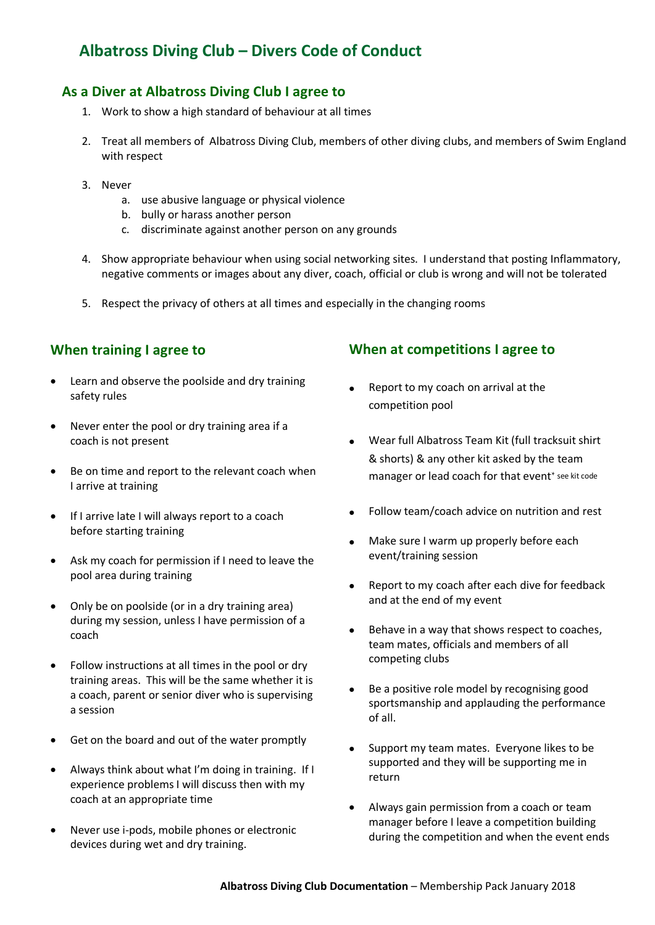# **Albatross Diving Club – Divers Code of Conduct**

### **As a Diver at Albatross Diving Club I agree to**

- 1. Work to show a high standard of behaviour at all times
- 2. Treat all members of Albatross Diving Club, members of other diving clubs, and members of Swim England with respect
- 3. Never
	- a. use abusive language or physical violence
	- b. bully or harass another person
	- c. discriminate against another person on any grounds
- 4. Show appropriate behaviour when using social networking sites. I understand that posting Inflammatory, negative comments or images about any diver, coach, official or club is wrong and will not be tolerated
- 5. Respect the privacy of others at all times and especially in the changing rooms

### **When training I agree to**

- Learn and observe the poolside and dry training safety rules
- Never enter the pool or dry training area if a coach is not present
- Be on time and report to the relevant coach when I arrive at training
- If I arrive late I will always report to a coach before starting training
- Ask my coach for permission if I need to leave the pool area during training
- Only be on poolside (or in a dry training area) during my session, unless I have permission of a coach
- Follow instructions at all times in the pool or dry training areas. This will be the same whether it is a coach, parent or senior diver who is supervising a session
- Get on the board and out of the water promptly
- Always think about what I'm doing in training. If I experience problems I will discuss then with my coach at an appropriate time
- Never use i-pods, mobile phones or electronic devices during wet and dry training.

#### **When at competitions I agree to**

- Report to my coach on arrival at the competition pool
- Wear full Albatross Team Kit (full tracksuit shirt & shorts) & any other kit asked by the team manager or lead coach for that event<sup>\*</sup> see kit code
- Follow team/coach advice on nutrition and rest
- Make sure I warm up properly before each event/training session
- Report to my coach after each dive for feedback and at the end of my event
- Behave in a way that shows respect to coaches, team mates, officials and members of all competing clubs
- Be a positive role model by recognising good sportsmanship and applauding the performance of all.
- Support my team mates. Everyone likes to be supported and they will be supporting me in return
- Always gain permission from a coach or team manager before I leave a competition building during the competition and when the event ends